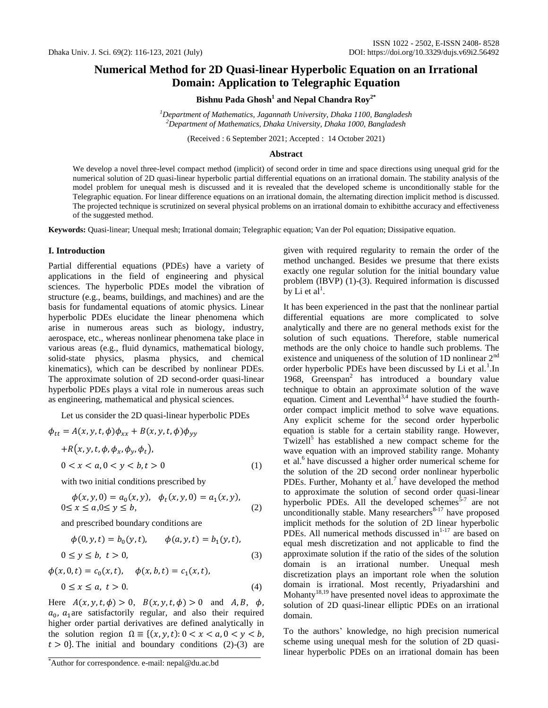# **Numerical Method for 2D Quasi-linear Hyperbolic Equation on an Irrational Domain: Application to Telegraphic Equation**

**Bishnu Pada Ghosh<sup>1</sup> and Nepal Chandra Roy2\***

*<sup>1</sup>Department of Mathematics, Jagannath University, Dhaka 1100, Bangladesh <sup>2</sup>Department of Mathematics, Dhaka University, Dhaka 1000, Bangladesh*

(Received : 6 September 2021; Accepted : 14 October 2021)

## **Abstract**

We develop a novel three-level compact method (implicit) of second order in time and space directions using unequal grid for the numerical solution of 2D quasi-linear hyperbolic partial differential equations on an irrational domain. The stability analysis of the model problem for unequal mesh is discussed and it is revealed that the developed scheme is unconditionally stable for the Telegraphic equation. For linear difference equations on an irrational domain, the alternating direction implicit method is discussed. The projected technique is scrutinized on several physical problems on an irrational domain to exhibitthe accuracy and effectiveness of the suggested method.

**Keywords:** Quasi-linear; Unequal mesh; Irrational domain; Telegraphic equation; Van der Pol equation; Dissipative equation.

## **I. Introduction**

Partial differential equations (PDEs) have a variety of applications in the field of engineering and physical sciences. The hyperbolic PDEs model the vibration of structure (e.g., beams, buildings, and machines) and are the basis for fundamental equations of atomic physics. Linear hyperbolic PDEs elucidate the linear phenomena which arise in numerous areas such as biology, industry, aerospace, etc., whereas nonlinear phenomena take place in various areas (e.g., fluid dynamics, mathematical biology, solid-state physics, plasma physics, and chemical kinematics), which can be described by nonlinear PDEs. The approximate solution of 2D second-order quasi-linear hyperbolic PDEs plays a vital role in numerous areas such as engineering, mathematical and physical sciences.

Let us consider the 2D quasi-linear hyperbolic PDEs

$$
\phi_{tt} = A(x, y, t, \phi)\phi_{xx} + B(x, y, t, \phi)\phi_{yy}
$$
  
+
$$
R(x, y, t, \phi, \phi_x, \phi_y, \phi_t),
$$
  

$$
0 < x < a, 0 < y < b, t > 0
$$
 (1)

with two initial conditions prescribed by

$$
\phi(x, y, 0) = a_0(x, y), \quad \phi_t(x, y, 0) = a_1(x, y), 0 \le x \le a, 0 \le y \le b,
$$
\n(2)

and prescribed boundary conditions are

$$
\phi(0, y, t) = b_0(y, t), \qquad \phi(a, y, t) = b_1(y, t), 0 \le y \le b, t > 0,
$$
\n(3)

$$
\phi(x, 0, t) = c_0(x, t), \quad \phi(x, b, t) = c_1(x, t),
$$
  
0 \le x \le a, t > 0. (4)

Here  $A(x, y, t, \phi) > 0$ ,  $B(x, y, t, \phi) > 0$  and  $A, B, \phi$ ,  $a_0$ ,  $a_1$  are satisfactorily regular, and also their required higher order partial derivatives are defined analytically in the solution region  $\Omega = \{(x, y, t): 0 < x < a, 0 < y < b,$  $t > 0$ . The initial and boundary conditions (2)-(3) are

\*Author for correspondence. e-mail: nepal@du.ac.bd

given with required regularity to remain the order of the method unchanged. Besides we presume that there exists exactly one regular solution for the initial boundary value problem (IBVP) (1)-(3). Required information is discussed by Li et al<sup>1</sup>.

It has been experienced in the past that the nonlinear partial differential equations are more complicated to solve analytically and there are no general methods exist for the solution of such equations. Therefore, stable numerical methods are the only choice to handle such problems. The existence and uniqueness of the solution of 1D nonlinear 2<sup>nd</sup> order hyperbolic PDEs have been discussed by Li et al.<sup>1</sup>.In 1968, Greenspan<sup>2</sup> has introduced a boundary value technique to obtain an approximate solution of the wave equation. Ciment and Leventhal<sup>3,4</sup> have studied the fourthorder compact implicit method to solve wave equations. Any explicit scheme for the second order hyperbolic equation is stable for a certain stability range. However, Twizell<sup>5</sup> has established a new compact scheme for the wave equation with an improved stability range. Mohanty et al.<sup>6</sup> have discussed a higher order numerical scheme for the solution of the 2D second order nonlinear hyperbolic PDEs. Further, Mohanty et al.<sup>7</sup> have developed the method to approximate the solution of second order quasi-linear hyperbolic PDEs. All the developed schemes $\frac{5-7}{ }$  are not unconditionally stable. Many researchers $8-17$  have proposed implicit methods for the solution of 2D linear hyperbolic PDEs. All numerical methods discussed in $1-17$  are based on equal mesh discretization and not applicable to find the approximate solution if the ratio of the sides of the solution domain is an irrational number. Unequal mesh discretization plays an important role when the solution domain is irrational. Most recently, Priyadarshini and Mohanty<sup>18,19</sup> have presented novel ideas to approximate the solution of 2D quasi-linear elliptic PDEs on an irrational domain.

To the authors' knowledge, no high precision numerical scheme using unequal mesh for the solution of 2D quasilinear hyperbolic PDEs on an irrational domain has been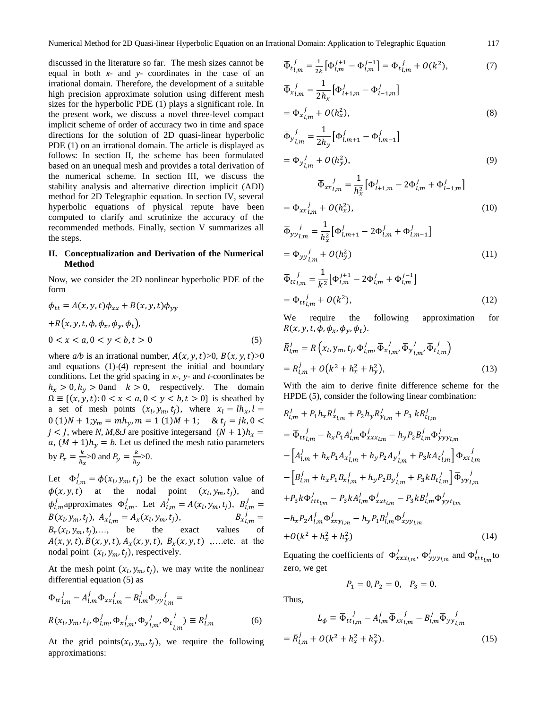discussed in the literature so far. The mesh sizes cannot be equal in both *x*- and *y*- coordinates in the case of an irrational domain. Therefore, the development of a suitable high precision approximate solution using different mesh sizes for the hyperbolic PDE (1) plays a significant role. In the present work, we discuss a novel three-level compact implicit scheme of order of accuracy two in time and space directions for the solution of 2D quasi-linear hyperbolic PDE (1) on an irrational domain. The article is displayed as follows: In section II, the scheme has been formulated based on an unequal mesh and provides a total derivation of the numerical scheme. In section III, we discuss the stability analysis and alternative direction implicit (ADI) method for 2D Telegraphic equation. In section IV, several hyperbolic equations of physical repute have been computed to clarify and scrutinize the accuracy of the recommended methods. Finally, section V summarizes all the steps.

## **II. Conceptualization and Derivation of the Numerical Method**

Now, we consider the 2D nonlinear hyperbolic PDE of the form

$$
\phi_{tt} = A(x, y, t)\phi_{xx} + B(x, y, t)\phi_{yy} \n+R(x, y, t, \phi, \phi_x, \phi_y, \phi_t), \n0 < x < a, 0 < y < b, t > 0
$$
\n(5)

where  $a/b$  is an irrational number,  $A(x, y, t) > 0$ ,  $B(x, y, t) > 0$ and equations (1)-(4) represent the initial and boundary conditions. Let the grid spacing in *x*-, *y*- and *t-*coordinates be  $h_x > 0$ ,  $h_y > 0$  and  $k > 0$ , respectively. The domain  $\Omega \equiv \{(x, y, t): 0 < x < a, 0 < y < b, t > 0\}$  is sheathed by a set of mesh points  $(x_l, y_m, t_i)$ , where  $0(1)N + 1; y_m = mh_y, m = 1(1)M + 1;$  &  $t_i = jk, 0$  $j < J$ , where *N*, *M*, &*J* are positive integers and  $(N + 1)h_x =$ a,  $(M + 1)h_y = b$ . Let us defined the mesh ratio parameters by  $P_x = \frac{k}{b}$  $\frac{k}{h_x}$ >0 and  $P_y = \frac{k}{h_y}$  $\frac{\kappa}{h_v} > 0.$ 

Let  $\Phi_{lm}^j = \phi(x_l, y_m, t_i)$  be the exact solution value of  $\phi(x, y, t)$  at the nodal point  $(x_l, y_m, t_i)$ , and  $\phi_{lm}^j$  approximates  $\Phi_{lm}^j$ . Let  $A_{lm}^j = A(x_l, y_m, t_i)$ ,  $B_l^j$ .  $B(x_l, y_m, t_i)$ ,  $A_{x l m}^{j} = A_x(x_l, y_m, t_i)$ ,  $B_{x_{l,m}}^{\prime} =$  $B_x(x_l, y_m, t_i), \ldots$ , be the exact values of  $A(x, y, t), B(x, y, t), A_x(x, y, t), B_x(x, y, t)$ ,...etc. at the nodal point  $(x_l, y_m, t_i)$ , respectively.

At the mesh point  $(x_l, y_m, t_i)$ , we may write the nonlinear differential equation (5) as

$$
\Phi_{tt}{}^{j}_{l,m} - A^{j}_{l,m} \Phi_{xx}{}^{j}_{l,m} - B^{j}_{l,m} \Phi_{yy}{}^{j}_{l,m} =
$$
  

$$
R(x_l, y_m, t_j, \Phi^{j}_{l,m}, \Phi_{x^j_{l,m'}} \Phi_{y^j_{l,m'}} \Phi_{t^j_{l,m}}^{j}) \equiv R^{j}_{l,m}
$$
 (6)

At the grid points  $(x_l, y_m, t_i)$ , we require the following approximations:

$$
\overline{\Phi}_{t\,l,m}^{j} = \frac{1}{2k} \left[ \Phi_{l,m}^{j+1} - \Phi_{l,m}^{j-1} \right] = \Phi_{t\,l,m}^{j} + O(k^{2}),\tag{7}
$$

$$
\begin{aligned} \overline{\Phi}_{xl,m}^{j} &= \frac{1}{2h_x} \big[ \Phi_{l+1,m}^{j} - \Phi_{l-1,m}^{j} \big] \\ &= \Phi_{xl,m}^{j} + O(h_x^2), \end{aligned} \tag{8}
$$

$$
\begin{aligned} \overline{\Phi}_{y}{}^{j}_{l,m} &= \frac{1}{2h_y} \left[ \Phi_{l,m+1}^{j} - \Phi_{l,m-1}^{j} \right] \\ &= \Phi_{y}{}^{j}_{l,m} + O(h_y^2), \end{aligned} \tag{9}
$$

$$
\overline{\Phi}_{xxl,m}^{j} = \frac{1}{h_x^2} \left[ \Phi_{l+1,m}^{j} - 2\Phi_{l,m}^{j} + \Phi_{l-1,m}^{j} \right]
$$

$$
= \Phi_{xxl,m}^{j} + O(h_x^2), \tag{10}
$$

$$
\overline{\Phi}_{yy}{}^{j}_{l,m} = \frac{1}{h_x^2} \left[ \Phi_{l,m+1}^{j} - 2\Phi_{l,m}^{j} + \Phi_{l,m-1}^{j} \right]
$$

$$
= \Phi_{yy}{}^{j}_{l,m} + O(h_y^2)
$$
(11)

$$
\overline{\Phi}_{ttl,m}^{j} = \frac{1}{k^2} \left[ \Phi_{l,m}^{j+1} - 2\Phi_{l,m}^{j} + \Phi_{l,m}^{j-1} \right]
$$

$$
= \Phi_{ttl,m}^{j} + O(k^2),
$$
(12)

We require the following approximation for  $R(x, y, t, \phi, \phi_x, \phi_y, \phi_t).$ 

$$
\begin{aligned} \bar{R}_{l,m}^j &= R\left(x_l, y_m, t_j, \Phi_{l,m}^j, \bar{\Phi}_{xl,m}^j, \bar{\Phi}_{yl,m}^j, \bar{\Phi}_{tl,m}^j\right) \\ &= R_{l,m}^j + O\left(k^2 + h_x^2 + h_y^2\right), \end{aligned} \tag{13}
$$

With the aim to derive finite difference scheme for the HPDE (5), consider the following linear combination:

 $\sim$ 

$$
R_{l,m}^j + P_1 h_x R_{x_{l,m}}^j + P_2 h_y R_{y_{l,m}}^j + P_3 k R_{t_{l,m}}^j
$$
  
\n
$$
= \overline{\Phi}_{tt_{l,m}}^j - h_x P_1 A_{l,m}^j \overline{\Phi}_{xxx_{l,m}}^j - h_y P_2 B_{l,m}^j \overline{\Phi}_{yyy_{l,m}}^j
$$
  
\n
$$
- \left[ A_{l,m}^j + h_x P_1 A_{x_{l,m}}^j + h_y P_2 A_{y_{l,m}}^j + P_3 k A_{t_{l,m}}^j \right] \overline{\Phi}_{xx_{l,m}}^j
$$
  
\n
$$
- \left[ B_{l,m}^j + h_x P_1 B_{x_{l,m}}^j + h_y P_2 B_{y_{l,m}}^j + P_3 k B_{t_{l,m}}^j \right] \overline{\Phi}_{yy_{l,m}}^j
$$
  
\n
$$
+ P_3 k \overline{\Phi}_{ttt_{l,m}}^j - P_3 k A_{l,m}^j \overline{\Phi}_{xxt_{l,m}}^j - P_3 k B_{l,m}^j \overline{\Phi}_{yyt_{l,m}}^j
$$
  
\n
$$
- h_x P_2 A_{l,m}^j \overline{\Phi}_{xxy_{l,m}}^j - h_y P_1 B_{l,m}^j \overline{\Phi}_{xyy_{l,m}}^j
$$
  
\n
$$
+ O(k^2 + h_x^2 + h_y^2)
$$
\n(14)

Equating the coefficients of  $\Phi_{rrr_1m}^j$ ,  $\Phi_{rr_1m}^j$  and  $\Phi_{t}^j$  to zero, we get

$$
P_1 = 0, P_2 = 0, P_3 = 0.
$$

Thus,

$$
L_{\phi} \equiv \overline{\Phi}_{ttl,m}^{j} - A_{l,m}^{j} \overline{\Phi}_{xxl,m}^{j} - B_{l,m}^{j} \overline{\Phi}_{yyl,m}^{j}
$$

$$
= \overline{R}_{l,m}^{j} + O(k^{2} + h_{x}^{2} + h_{y}^{2}).
$$
 (15)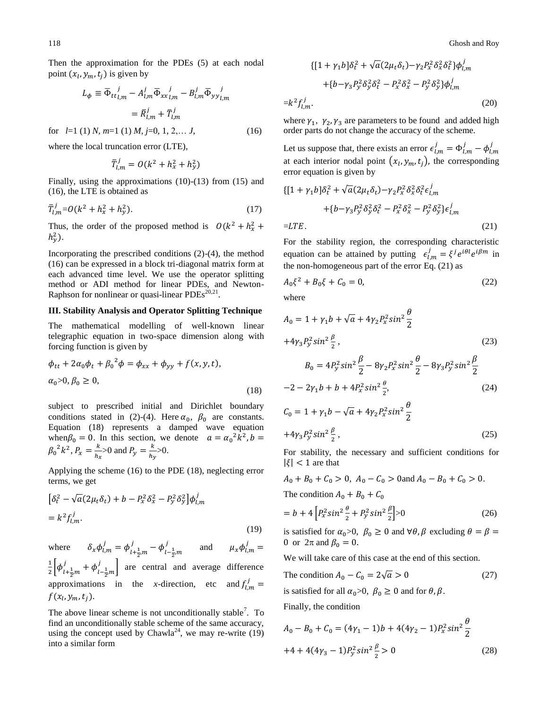Then the approximation for the PDEs (5) at each nodal point  $(x_l, y_m, t_i)$  is given by

$$
L_{\phi} \equiv \overline{\Phi}_{ttl,m}^{\ \ j} - A_{l,m}^j \overline{\Phi}_{xxl,m}^{\ \ j} - B_{l,m}^j \overline{\Phi}_{yyl,m}^{\ \ j}
$$

$$
= \overline{R}_{l,m}^j + \overline{T}_{l,m}^j
$$

for  $l=1$  (1) *N*,  $m=1$  (1) *M*,  $j=0, 1, 2,... J$ , (16)

where the local truncation error (LTE),

$$
\bar{T}_{l,m}^j = O(k^2 + h_x^2 + h_y^2)
$$

Finally, using the approximations (10)-(13) from (15) and (16), the LTE is obtained as

$$
\bar{T}_{l,m}^j = O(k^2 + h_x^2 + h_y^2). \tag{17}
$$

Thus, the order of the proposed method is  $O(k^2 + h_x^2)$  $h_v^2$ ).

Incorporating the prescribed conditions (2)-(4), the method (16) can be expressed in a block tri-diagonal matrix form at each advanced time level. We use the operator splitting method or ADI method for linear PDEs, and Newton-Raphson for nonlinear or quasi-linear  $PDEs^{20,21}$ .

#### **III. Stability Analysis and Operator Splitting Technique**

The mathematical modelling of well-known linear telegraphic equation in two-space dimension along with forcing function is given by

$$
\phi_{tt} + 2\alpha_0 \phi_t + {\beta_0}^2 \phi = \phi_{xx} + \phi_{yy} + f(x, y, t),
$$
  
\n
$$
\alpha_0 > 0, \beta_0 \ge 0,
$$
\n(18)

subject to prescribed initial and Dirichlet boundary conditions stated in (2)-(4). Here  $\alpha_0$ ,  $\beta_0$  are constants. Equation (18) represents a damped wave equation when  $\beta_0 = 0$ . In this section, we denote  $a = \alpha_0^2 k^2$ ,  $\beta_0^2 k^2$ ,  $P_x = \frac{k}{b}$  $\frac{k}{h_x}$ >0 and  $P_y = \frac{k}{h_y}$  $\frac{\kappa}{h_v} > 0.$ 

Applying the scheme (16) to the PDE (18), neglecting error terms, we get

$$
\begin{aligned} \left[\delta_t^2 - \sqrt{a}(2\mu_t \delta_t) + b - P_x^2 \delta_x^2 - P_y^2 \delta_y^2\right] \phi_{l,m}^j \\ &= k^2 f_{l,m}^j. \end{aligned} \tag{19}
$$

where  $\psi_{l,m}^j = \phi_{l+\frac{1}{2}m}^j$  $j_{l+\frac{1}{2},m} - \phi_{l-\frac{1}{2},m}^j$  $\mu_x$  and  $\mu_x$  $\phi_l$  $\mathbf{1}$  $\frac{1}{2} \left[ \phi'_{l+\frac{1}{2}} \right]$  $j_{l+\frac{1}{2},m} + \phi_{l-\frac{1}{2},m}^j$  $\begin{bmatrix} j \\ 1 \end{bmatrix}$  are central and average difference approximations in the *x*-direction, etc and  $f_{1}^{j}$  $f(x_l, y_m, t_i)$ .

The above linear scheme is not unconditionally stable<sup>7</sup>. To find an unconditionally stable scheme of the same accuracy, using the concept used by Chawla<sup>24</sup>, we may re-write  $(19)$ into a similar form

$$
\{[1 + \gamma_1 b]\delta_t^2 + \sqrt{a}(2\mu_t \delta_t) - \gamma_2 P_x^2 \delta_x^2 \delta_t^2\} \phi_{l,m}^j
$$
  
+
$$
\{b - \gamma_3 P_y^2 \delta_y^2 \delta_t^2 - P_x^2 \delta_x^2 - P_y^2 \delta_y^2\} \phi_{l,m}^j
$$
  
=
$$
k^2 f_{l,m}^j.
$$
 (20)

where  $\gamma_1$ ,  $\gamma_2$ ,  $\gamma_3$  are parameters to be found and added high order parts do not change the accuracy of the scheme.

Let us suppose that, there exists an error  $\epsilon_{lm}^j = \Phi_{lm}^j - \phi_{lm}^j$ at each interior nodal point  $(x_l, y_m, t_i)$ , the corresponding error equation is given by

$$
\begin{aligned} \left\{ [1 + \gamma_1 b] \delta_t^2 + \sqrt{a} (2\mu_t \delta_t) - \gamma_2 P_x^2 \delta_x^2 \delta_t^2 \epsilon_{l,m}^j \right. \\ \left. + \left\{ b - \gamma_3 P_y^2 \delta_y^2 \delta_t^2 - P_x^2 \delta_x^2 - P_y^2 \delta_y^2 \right\} \epsilon_{l,m}^j \right\} \\ = LTE. \end{aligned} \tag{21}
$$

For the stability region, the corresponding characteristic equation can be attained by putting  $\epsilon_{lm}^j = \xi^j e^{i\theta l} e^{i\beta m}$  in the non-homogeneous part of the error Eq. (21) as

$$
A_0 \xi^2 + B_0 \xi + C_0 = 0,\t\t(22)
$$

where

$$
A_0 = 1 + \gamma_1 b + \sqrt{a} + 4\gamma_2 P_x^2 \sin^2 \frac{\theta}{2}
$$
  
+4 $\gamma_3 P_y^2 \sin^2 \frac{\beta}{2}$ , (23)  

$$
B_0 = 4P_y^2 \sin^2 \frac{\beta}{2} - 8\gamma_2 P_x^2 \sin^2 \frac{\theta}{2} - 8\gamma_3 P_y^2 \sin^2 \frac{\beta}{2}
$$
  
-2 - 2 $\gamma_1 b + b + 4P_x^2 \sin^2 \frac{\theta}{2}$ , (24)

$$
C_0 = 1 + \gamma_1 b - \sqrt{a} + 4\gamma_2 P_x^2 \sin^2 \frac{B}{2}
$$
  
+4 $\gamma_3 P_y^2 \sin^2 \frac{\beta}{2}$ , (25)

For stability, the necessary and sufficient conditions for  $|\xi|$  < 1 are that

$$
A_0 + B_0 + C_0 > 0, \ A_0 - C_0 > 0 \text{ and } A_0 - B_0 + C_0 > 0.
$$

The condition  $A_0 + B_0 + C_0$ 

$$
= b + 4 \left[ P_x^2 \sin^2 \frac{\theta}{2} + P_y^2 \sin^2 \frac{\beta}{2} \right] > 0 \tag{26}
$$

is satisfied for  $\alpha_0 > 0$ ,  $\beta_0 \ge 0$  and  $\forall \theta, \beta$  excluding  $\theta = \beta =$ 0 or  $2\pi$  and  $\beta_0 = 0$ .

We will take care of this case at the end of this section.

The condition 
$$
A_0 - C_0 = 2\sqrt{a} > 0
$$
 (27)

is satisfied for all  $\alpha_0 > 0$ ,  $\beta_0 \ge 0$  and for  $\theta$ ,  $\beta$ .

Finally, the condition

$$
A_0 - B_0 + C_0 = (4\gamma_1 - 1)b + 4(4\gamma_2 - 1)P_x^2 \sin^2 \frac{\theta}{2}
$$
  
+4 + 4(4\gamma\_3 - 1)P\_y^2 \sin^2 \frac{\beta}{2} > 0 \t(28)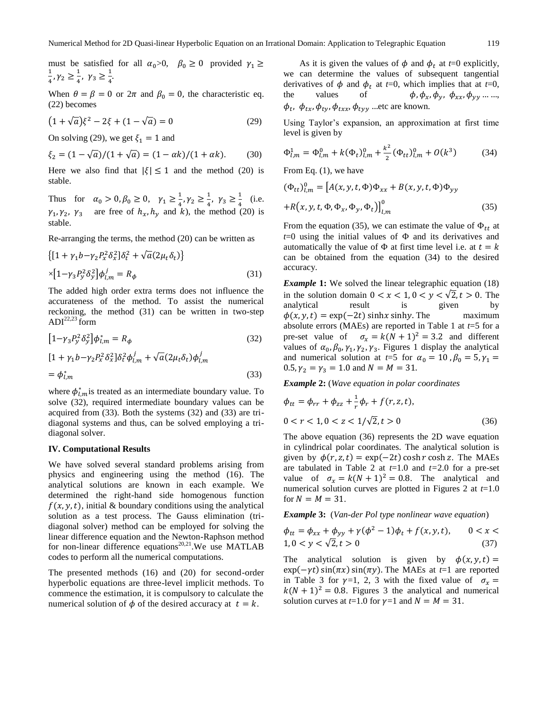must be satisfied for all  $\alpha_0 > 0$ ,  $\beta_0 \ge 0$  provided  $\gamma_1 \ge$  $\mathbf{1}$  $\frac{1}{4}$ ,  $\gamma_2 \geq \frac{1}{4}$  $\frac{1}{4}$ ,  $\gamma_3 \ge \frac{1}{4}$  $\frac{1}{4}$ 

When  $\theta = \beta = 0$  or  $2\pi$  and  $\beta_0 = 0$ , the characteristic eq. (22) becomes

$$
(1 + \sqrt{a})\xi^2 - 2\xi + (1 - \sqrt{a}) = 0
$$
 (29)

On solving (29), we get  $\xi_1 = 1$  and

$$
\xi_2 = (1 - \sqrt{a})/(1 + \sqrt{a}) = (1 - \alpha k)/(1 + \alpha k). \tag{30}
$$

Here we also find that  $|\xi| \le 1$  and the method (20) is stable.

Thus for  $\alpha_0 > 0, \beta_0 \ge 0, \gamma_1 \ge \frac{1}{4}$  $\frac{1}{4}$ ,  $\gamma_2 \geq \frac{1}{4}$  $\frac{1}{4}$ ,  $\gamma_3 \ge \frac{1}{4}$  $\frac{1}{4}$  (i.e.  $\gamma_1, \gamma_2, \gamma_3$  are free of  $h_x, h_y$  and k), the method (20) is stable.

Re-arranging the terms, the method (20) can be written as

$$
\{[1 + \gamma_1 b - \gamma_2 P_x^2 \delta_x^2] \delta_t^2 + \sqrt{a} (2\mu_t \delta_t)\}\
$$

$$
\times [1 - \gamma_3 P_y^2 \delta_y^2] \phi_{l,m}^j = R_\phi
$$
(31)

The added high order extra terms does not influence the accurateness of the method. To assist the numerical reckoning, the method (31) can be written in two-step  $ADI<sup>22,23</sup>$  form

$$
\left[1-\gamma_3 P_y^2 \delta_y^2\right] \phi_{l,m}^* = R_\phi \tag{32}
$$

$$
[1 + \gamma_1 b - \gamma_2 P_x^2 \delta_x^2] \delta_t^2 \phi_{l,m}^j + \sqrt{a} (2\mu_t \delta_t) \phi_{l,m}^j
$$
  
=  $\phi_{l,m}^*$  (33)

where  $\phi_{l,m}^*$  is treated as an intermediate boundary value. To solve (32), required intermediate boundary values can be acquired from (33). Both the systems (32) and (33) are tridiagonal systems and thus, can be solved employing a tridiagonal solver.

#### **IV. Computational Results**

We have solved several standard problems arising from physics and engineering using the method (16). The analytical solutions are known in each example. We determined the right-hand side homogenous function  $f(x, y, t)$ , initial & boundary conditions using the analytical solution as a test process. The Gauss elimination (tridiagonal solver) method can be employed for solving the linear difference equation and the Newton-Raphson method for non-linear difference equations<sup>20,21</sup>. We use MATLAB codes to perform all the numerical computations.

The presented methods (16) and (20) for second-order hyperbolic equations are three-level implicit methods. To commence the estimation, it is compulsory to calculate the numerical solution of  $\phi$  of the desired accuracy at  $t = k$ .

As it is given the values of  $\phi$  and  $\phi_t$  at *t*=0 explicitly, we can determine the values of subsequent tangential derivatives of  $\phi$  and  $\phi_t$  at *t*=0, which implies that at *t*=0, the values of  $\phi, \phi_x, \phi_y, \phi_{xx}, \phi_{yy} \dots$  $\phi_t$ ,  $\phi_{tx}$ ,  $\phi_{ty}$ ,  $\phi_{txx}$ ,  $\phi_{tvy}$  ... etc are known.

Using Taylor's expansion, an approximation at first time level is given by

$$
\Phi_{l,m}^1 = \Phi_{l,m}^0 + k(\Phi_t)_{l,m}^0 + \frac{k^2}{2} (\Phi_{tt})_{l,m}^0 + O(k^3)
$$
 (34)

From Eq. (1), we have

$$
(\Phi_{tt})^0_{l,m} = [A(x, y, t, \Phi)\Phi_{xx} + B(x, y, t, \Phi)\Phi_{yy}
$$
  
+
$$
R(x, y, t, \Phi, \Phi_x, \Phi_y, \Phi_t)]^0_{l,m}
$$
 (35)

From the equation (35), we can estimate the value of  $\Phi_{tt}$  at  $t=0$  using the initial values of  $\Phi$  and its derivatives and automatically the value of  $\Phi$  at first time level i.e. at  $t = k$ can be obtained from the equation (34) to the desired accuracy.

*Example* 1: We solved the linear telegraphic equation (18) in the solution domain  $0 < x < 1, 0 < y < \sqrt{2}, t > 0$ . The analytical result is given by  $\phi(x, y, t) = \exp(-2t) \sinh x \sinh y$ . The maximum absolute errors (MAEs) are reported in Table 1 at *t*=5 for a pre-set value of  $\sigma_x = k(N+1)^2 = 3.2$  and different values of  $\alpha_0$ ,  $\beta_0$ ,  $\gamma_1$ ,  $\gamma_2$ ,  $\gamma_3$ . Figures 1 display the analytical and numerical solution at  $t=5$  for  $\alpha_0 = 10$ ,  $\beta_0 = 5$ ,  $\gamma_1 =$ 0.5,  $\gamma_2 = \gamma_3 = 1.0$  and  $N = M = 31$ .

*Example* **2:** (*Wave equation in polar coordinates*

$$
\phi_{tt} = \phi_{rr} + \phi_{zz} + \frac{1}{r}\phi_r + f(r, z, t),
$$
  
0 < r < 1, 0 < z < 1/\sqrt{2}, t > 0 (36)

The above equation (36) represents the 2D wave equation in cylindrical polar coordinates. The analytical solution is given by  $\phi(r, z, t) = \exp(-2t) \cosh r \cosh z$ . The MAEs are tabulated in Table 2 at *t*=1.0 and *t=*2.0 for a pre-set value of  $\sigma_x = k(N + 1)^2 = 0.8$ . The analytical and numerical solution curves are plotted in Figures 2 at *t*=1.0 for  $N = M = 31$ .

*Example* **3:** (*Van-der Pol type nonlinear wave equation*)

$$
\phi_{tt} = \phi_{xx} + \phi_{yy} + \gamma(\phi^2 - 1)\phi_t + f(x, y, t), \qquad 0 < x < 1, 0 < y < \sqrt{2}, t > 0 \tag{37}
$$

The analytical solution is given by  $\phi(x, y, t) =$  $\exp(-\gamma t) \sin(\pi x) \sin(\pi y)$ . The MAEs at  $t=1$  are reported in Table 3 for  $\gamma=1$ , 2, 3 with the fixed value of  $\sigma_x =$  $k(N + 1)^2 = 0.8$ . Figures 3 the analytical and numerical solution curves at  $t=1.0$  for  $\gamma=1$  and  $N = M = 31$ .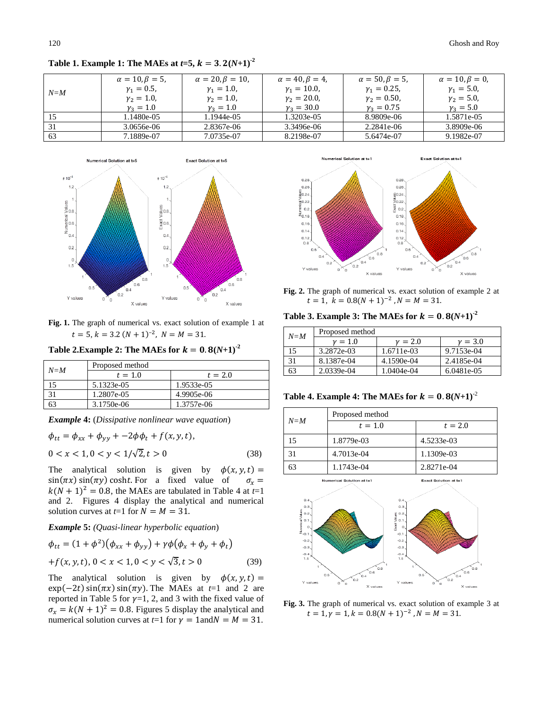|         | $\alpha = 10, \beta = 5$ | $\alpha = 20, \beta = 10,$ | $\alpha = 40, \beta = 4$ | $\alpha = 50, \beta = 5$ | $\alpha = 10, \beta = 0$ |
|---------|--------------------------|----------------------------|--------------------------|--------------------------|--------------------------|
| $N = M$ | $\gamma_1 = 0.5$ ,       | $v_1 = 1.0$                | $\gamma_1 = 10.0$ ,      | $\gamma_1 = 0.25$ ,      | $\gamma_1 = 5.0$ ,       |
|         | $\gamma_2 = 1.0$ ,       | $v_2 = 1.0$ ,              | $v_2 = 20.0$ ,           | $v_2 = 0.50$ ,           | $\gamma_2 = 5.0$ ,       |
|         | $v_3 = 1.0$              | $v_3 = 1.0$                | $v_2 = 30.0$             | $v_3 = 0.75$             | $v_3 = 5.0$              |
|         | 1.1480e-05               | l.1944e-05                 | 1.3203e-05               | 8.9809e-06               | 1.5871e-05               |
|         | 3.0656e-06               | 2.8367e-06                 | 3.3496e-06               | 2.2841e-06               | 3.8909e-06               |
| 63      | 7.1889e-07               | 7.0735e-07                 | 8.2198e-07               | 5.6474e-07               | 9.1982e-07               |

**Table 1. Example 1: The MAEs at**  $t=5$ **,**  $k = 3.2(N+1)^2$ 



**Fig. 1.** The graph of numerical vs. exact solution of example 1 at  $t = 5, k = 3.2 (N + 1)^{-2},$ 

**Table 2.Example 2: The MAEs for**  $k = 0.8(N+1)^2$ 

| $N = M$ | Proposed method |            |  |
|---------|-----------------|------------|--|
|         | $t = 1.0$       | $t = 2.0$  |  |
|         | 5.1323e-05      | 1.9533e-05 |  |
|         | 1.2807e-05      | 4.9905e-06 |  |
|         | 3.1750e-06      | 1.3757e-06 |  |

*Example* **4:** (*Dissipative nonlinear wave equation*)

$$
\phi_{tt} = \phi_{xx} + \phi_{yy} + -2\phi\phi_t + f(x, y, t),
$$
  
0 < x < 1, 0 < y < 1/\sqrt{2}, t > 0 (38)

The analytical solution is given by  $\phi(x, y, t) =$  $sin(\pi x) sin(\pi y) cosht$ . For a fixed value of  $\sigma_x =$  $k(N + 1)^2 = 0.8$ , the MAEs are tabulated in Table 4 at  $t=1$ and 2. Figures 4 display the analytical and numerical solution curves at  $t=1$  for  $N = M = 31$ .

## *Example* **5:** *(Quasi-linear hyperbolic equation*)

$$
\phi_{tt} = (1 + \phi^2)(\phi_{xx} + \phi_{yy}) + \gamma\phi(\phi_x + \phi_y + \phi_t)
$$
  
+  $f(x, y, t), 0 < x < 1, 0 < y < \sqrt{3}, t > 0$  (39)

The analytical solution is given by  $\phi(x, y, t) =$  $\exp(-2t)\sin(\pi x)\sin(\pi y)$ . The MAEs at *t*=1 and 2 are reported in Table 5 for  $\gamma=1$ , 2, and 3 with the fixed value of  $\sigma_x = k(N + 1)^2 = 0.8$ . Figures 5 display the analytical and numerical solution curves at  $t=1$  for  $\gamma = 1$  and  $N = M = 31$ .



**Fig. 2.** The graph of numerical vs. exact solution of example 2 at  $t = 1, k = 0.8(N + 1)^{-2}$ ,

**Table 3. Example 3: The MAEs for**  $k = 0.8(N+1)^2$ 

| $N = M$ | Proposed method |             |             |  |
|---------|-----------------|-------------|-------------|--|
|         | $\nu = 1.0$     | $\nu = 2.0$ | $\nu = 3.0$ |  |
|         | 3.2872e-03      | 1.6711e-03  | 9.7153e-04  |  |
|         | 8.1387e-04      | 4.1590e-04  | 2.4185e-04  |  |
|         | 2.0339e-04      | 1.0404e-04  | 6.0481e-05  |  |

**Table 4. Example 4: The MAEs for**  $k = 0.8(N+1)^{-2}$ 

| $N = M$ | Proposed method |            |  |
|---------|-----------------|------------|--|
|         | $t = 1.0$       | $t = 2.0$  |  |
|         | 1.8779e-03      | 4.5233e-03 |  |
| 31      | 4.7013e-04      | 1.1309e-03 |  |
|         | 1.1743e-04      | 2.8271e-04 |  |

rical Solution at t≡1

Exact Solution at  $t=1$ 



**Fig. 3.** The graph of numerical vs. exact solution of example 3 at  $t = 1, \gamma = 1, k = 0.8(N + 1)^{-2}$ ,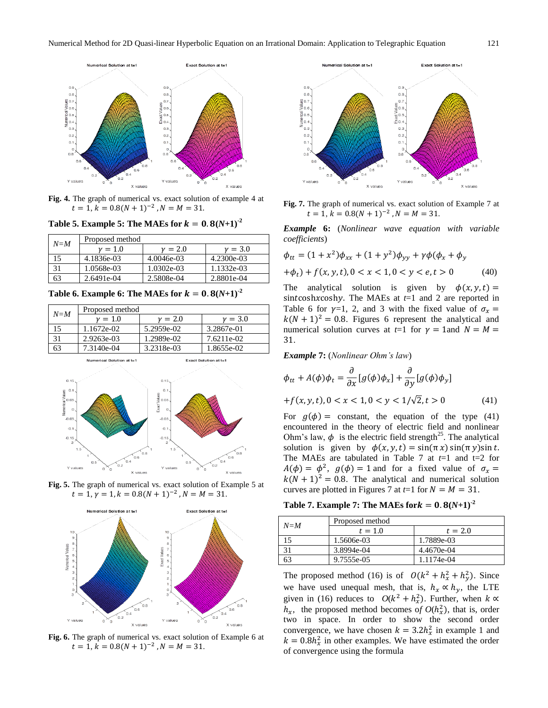

**Fig. 4.** The graph of numerical vs. exact solution of example 4 at  $t = 1, k = 0.8(N + 1)^{-2}$ ,

**Table 5. Example 5: The MAEs for**  $k = 0.8(N+1)^{-2}$ 

| $N = M$ | Proposed method |              |            |
|---------|-----------------|--------------|------------|
|         | $\nu = 1.0$     | $v = 2.0$    | $v = 3.0$  |
|         | 4.1836e-03      | $4.0046e-03$ | 4.2300e-03 |
| 31      | 1.0568e-03      | 1.0302e-03   | 1.1332e-03 |
| 63      | 2.6491e-04      | 2.5808e-04   | 2.8801e-04 |

**Table 6. Example 6: The MAEs for**  $k = 0.8(N+1)^{2}$ 

| $N = M$ | Proposed method             |             |                       |
|---------|-----------------------------|-------------|-----------------------|
|         | $\nu = 1.0$                 | $\nu = 2.0$ | $v = 3.0$             |
| 15      | 1.1672e-02                  | 5.2959e-02  | 3.2867e-01            |
| 31      | 2.9263e-03                  | 1.2989e-02  | 7.6211e-02            |
| 63      | 7.3140e-04                  | 3.2318e-03  | 1.8655e-02            |
|         | Numerical Solution at $t=1$ |             | Exact Solution at t=1 |

Numerical Solution at t=1











**Fig. 7.** The graph of numerical vs. exact solution of Example 7 at  $t = 1, k = 0.8(N + 1)^{-2}, N = M = 31.$ 

*Example* **6:** (*Nonlinear wave equation with variable coefficients*)

$$
\phi_{tt} = (1 + x^2)\phi_{xx} + (1 + y^2)\phi_{yy} + \gamma\phi(\phi_x + \phi_y
$$
  
+ $\phi_t$ ) +  $f(x, y, t)$ , 0 < x < 1, 0 < y < e, t > 0 (40)

The analytical solution is given by  $\phi(x, y, t) =$ sintcoshxcoshy. The MAEs at  $t=1$  and 2 are reported in Table 6 for  $\gamma=1$ , 2, and 3 with the fixed value of  $\sigma_x =$  $k(N + 1)^2 = 0.8$ . Figures 6 represent the analytical and numerical solution curves at  $t=1$  for  $\gamma = 1$  and  $N = M =$ 31.

*Example* **7:** (*Nonlinear Ohm's law*)

$$
\phi_{tt} + A(\phi)\phi_t = \frac{\partial}{\partial x} [g(\phi)\phi_x] + \frac{\partial}{\partial y} [g(\phi)\phi_y]
$$

$$
+ f(x, y, t), 0 < x < 1, 0 < y < \frac{1}{\sqrt{2}}, t > 0 \tag{41}
$$

For  $g(\phi) =$  constant, the equation of the type (41) encountered in the theory of electric field and nonlinear Ohm's law,  $\phi$  is the electric field strength<sup>25</sup>. The analytical solution is given by  $\phi(x, y, t) = \sin(\pi x) \sin(\pi y) \sin t$ . The MAEs are tabulated in Table 7 at  $t=1$  and  $t=2$  for  $A(\phi) = \phi^2$ ,  $g(\phi) = 1$  and for a fixed value of  $k(N + 1)^2 = 0.8$ . The analytical and numerical solution curves are plotted in Figures 7 at  $t=1$  for  $N = M = 31$ .

**Table 7. Example 7: The MAEs for**  $k = 0.8(N+1)^2$ 

|         | Proposed method |            |
|---------|-----------------|------------|
| $N = M$ | $t = 1.0$       | $t = 2.0$  |
| 15      | 1.5606e-03      | 1.7889e-03 |
| 31      | 3.8994e-04      | 4.4670e-04 |
| 63      | 9.7555e-05      | 1.1174e-04 |

The proposed method (16) is of  $O(k^2 + h_x^2 + h_y^2)$ . Since we have used unequal mesh, that is,  $h_x \propto h_y$ , the LTE given in (16) reduces to  $O(k^2 + h_x^2)$ . Further, when  $h_x$ , the proposed method becomes of  $O(h_x^2)$ , that is, order two in space. In order to show the second order convergence, we have chosen  $k = 3.2h_x^2$  in example 1 and  $k = 0.8h_x^2$  in other examples. We have estimated the order of convergence using the formula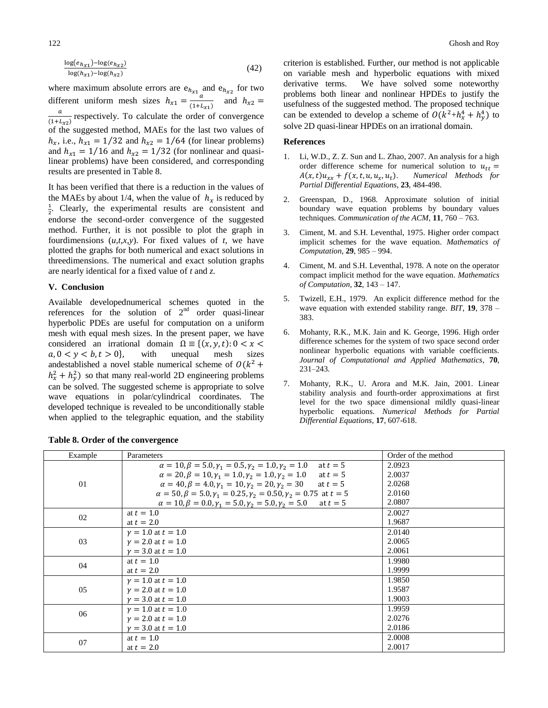$$
\frac{\log(e_{h_{x1}}) - \log(e_{h_{x2}})}{\log(h_{x1}) - \log(h_{x2})}
$$
(42)

where maximum absolute errors are  $e_{h_{xx}}$  and  $e_{h_{xx}}$  for two different uniform mesh sizes  $h_{x1} = \frac{a}{a}$  $\frac{u}{(1+L_{x1})}$  and  $\alpha$  $rac{u}{(1+L_{x2})}$  respectively. To calculate the order of convergence of the suggested method, MAEs for the last two values of  $h_x$ , i.e.,  $h_{x1} = 1/32$  and  $h_{x2} = 1/64$  (for linear problems) and  $h_{x1} = 1/16$  and  $h_{x2} = 1/32$  (for nonlinear and quasilinear problems) have been considered, and corresponding results are presented in Table 8.

It has been verified that there is a reduction in the values of the MAEs by about 1/4, when the value of  $h_x$  is reduced by  $\frac{1}{2}$ . Clearly, the experimental results are consistent and endorse the second-order convergence of the suggested method. Further, it is not possible to plot the graph in fourdimensions  $(u,t,x,y)$ . For fixed values of *t*, we have plotted the graphs for both numerical and exact solutions in threedimensions. The numerical and exact solution graphs are nearly identical for a fixed value of *t* and *z*.

#### **V. Conclusion**

Available developednumerical schemes quoted in the references for the solution of  $2<sup>nd</sup>$  order quasi-linear hyperbolic PDEs are useful for computation on a uniform mesh with equal mesh sizes. In the present paper, we have considered an irrational domain  $\Omega = \{(x, y, t): 0 < x <$  $a, 0 \lt y \lt b, t \gt 0$ , with unequal mesh sizes andestablished a novel stable numerical scheme of  $O(k^2)$  $h_x^2 + h_y^2$ ) so that many real-world 2D engineering problems can be solved. The suggested scheme is appropriate to solve wave equations in polar/cylindrical coordinates. The developed technique is revealed to be unconditionally stable when applied to the telegraphic equation, and the stability

criterion is established. Further, our method is not applicable on variable mesh and hyperbolic equations with mixed derivative terms. We have solved some noteworthy problems both linear and nonlinear HPDEs to justify the usefulness of the suggested method. The proposed technique can be extended to develop a scheme of  $O(k^2 + h_x^4 + h_y^4)$  to solve 2D quasi-linear HPDEs on an irrational domain.

## **References**

- 1. Li, W.D., Z. Z. Sun and L. Zhao, 2007. An analysis for a high order difference scheme for numerical solution to  $u_{tt} =$  $A(x,t)u_{xx} + f(x,t,u,u_x,u_t)$ . Numerical Methods for *Partial Differential Equations*, **23**, 484-498.
- 2. Greenspan, D., 1968. Approximate solution of initial boundary wave equation problems by boundary values techniques. *Communication of the ACM*, **11**, 760 – 763.
- 3. Ciment, M. and S.H. Leventhal, 1975. Higher order compact implicit schemes for the wave equation. *Mathematics of Computation,* **29**, 985 – 994.
- 4. Ciment, M. and S.H. Leventhal, 1978. A note on the operator compact implicit method for the wave equation. *Mathematics of Computation,* **32**, 143 – 147.
- 5. Twizell, E.H., 1979. An explicit difference method for the wave equation with extended stability range. *BIT*, **19**, 378 – 383.
- 6. Mohanty, R.K., M.K. Jain and K. George, 1996. High order difference schemes for the system of two space second order nonlinear hyperbolic equations with variable coefficients. *Journal of Computational and Applied Mathematics*, **70**, 231–243.
- 7. Mohanty, R.K., U. Arora and M.K. Jain, 2001. Linear stability analysis and fourth-order approximations at first level for the two space dimensional mildly quasi-linear hyperbolic equations. *Numerical Methods for Partial Differential Equations,* **17**, 607-618.

| Example | Parameters                                                                               | Order of the method |
|---------|------------------------------------------------------------------------------------------|---------------------|
|         | $\alpha = 10, \beta = 5.0, \gamma_1 = 0.5, \gamma_2 = 1.0, \gamma_2 = 1.0$<br>at $t=5$   | 2.0923              |
|         | $\alpha = 20, \beta = 10, \gamma_1 = 1.0, \gamma_2 = 1.0, \gamma_3 = 1.0$ at $t = 5$     | 2.0037              |
| 01      | $\alpha = 40, \beta = 4.0, \gamma_1 = 10, \gamma_2 = 20, \gamma_2 = 30$ at $t = 5$       | 2.0268              |
|         | $\alpha = 50, \beta = 5.0, \gamma_1 = 0.25, \gamma_2 = 0.50, \gamma_2 = 0.75$ at $t = 5$ | 2.0160              |
|         | $\alpha = 10, \beta = 0.0, \gamma_1 = 5.0, \gamma_2 = 5.0, \gamma_2 = 5.0$ at $t = 5$    | 2.0807              |
| 02      | at $t = 1.0$                                                                             | 2.0027              |
|         | at $t = 2.0$                                                                             | 1.9687              |
|         | $\gamma = 1.0$ at $t = 1.0$                                                              | 2.0140              |
| 03      | $v = 2.0$ at $t = 1.0$                                                                   | 2.0065              |
|         | $v = 3.0$ at $t = 1.0$                                                                   | 2.0061              |
| 04      | at $t = 1.0$                                                                             | 1.9980              |
|         | at $t = 2.0$                                                                             | 1.9999              |
|         | $v = 1.0$ at $t = 1.0$                                                                   | 1.9850              |
| 05      | $v = 2.0$ at $t = 1.0$                                                                   | 1.9587              |
|         | $v = 3.0$ at $t = 1.0$                                                                   | 1.9003              |
|         | $v = 1.0$ at $t = 1.0$                                                                   | 1.9959              |
| 06      | $v = 2.0$ at $t = 1.0$                                                                   | 2.0276              |
|         | $v = 3.0$ at $t = 1.0$                                                                   | 2.0186              |
|         | at $t = 1.0$                                                                             | 2.0008              |
| 07      | at $t = 2.0$                                                                             | 2.0017              |

|  |  |  | Table 8. Order of the convergence |
|--|--|--|-----------------------------------|
|--|--|--|-----------------------------------|